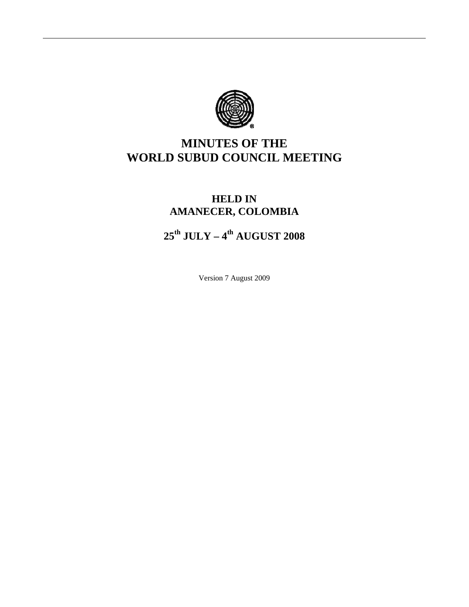

# **MINUTES OF THE WORLD SUBUD COUNCIL MEETING**

## **HELD IN AMANECER, COLOMBIA**

# **25th JULY – 4th AUGUST 2008**

Version 7 August 2009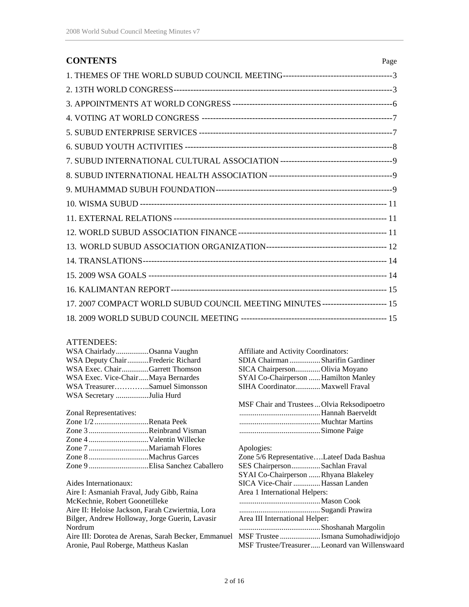| <b>CONTENTS</b>                                                                  | Page |
|----------------------------------------------------------------------------------|------|
|                                                                                  |      |
|                                                                                  |      |
|                                                                                  |      |
|                                                                                  |      |
|                                                                                  |      |
|                                                                                  |      |
|                                                                                  |      |
|                                                                                  |      |
|                                                                                  |      |
|                                                                                  |      |
|                                                                                  |      |
|                                                                                  |      |
|                                                                                  |      |
|                                                                                  |      |
|                                                                                  |      |
|                                                                                  |      |
| 17. 2007 COMPACT WORLD SUBUD COUNCIL MEETING MINUTES ------------------------ 15 |      |
|                                                                                  |      |

#### ATTENDEES:

| WSA ChairladyOsanna Vaughn                                                              | Affiliate and Activity Coordinators:       |
|-----------------------------------------------------------------------------------------|--------------------------------------------|
| WSA Deputy ChairFrederic Richard                                                        | SDIA Chairman Sharifin Gardiner            |
| WSA Exec. ChairGarrett Thomson                                                          | SICA Chairperson Olivia Moyano             |
| WSA Exec. Vice-ChairMaya Bernardes                                                      | SYAI Co-Chairperson  Hamilton Manley       |
| WSA TreasurerSamuel Simonsson                                                           | SIHA CoordinatorMaxwell Fraval             |
| WSA Secretary Julia Hurd                                                                |                                            |
|                                                                                         | MSF Chair and Trustees Olvia Reksodipoetro |
| Zonal Representatives:                                                                  |                                            |
| Zone 1/2Renata Peek                                                                     |                                            |
| Zone 3 Reinbrand Visman                                                                 |                                            |
|                                                                                         |                                            |
|                                                                                         | Apologies:                                 |
|                                                                                         | Zone 5/6 RepresentativeLateef Dada Bashua  |
| Zone 9 Elisa Sanchez Caballero                                                          | SES ChairpersonSachlan Fraval              |
|                                                                                         | SYAI Co-Chairperson Rhyana Blakeley        |
| Aides Internationaux:                                                                   | SICA Vice-Chair Hassan Landen              |
| Aire I: Asmaniah Fraval, Judy Gibb, Raina                                               | Area 1 International Helpers:              |
| McKechnie, Robert Goonetilleke                                                          |                                            |
| Aire II: Heloise Jackson, Farah Czwiertnia, Lora                                        |                                            |
| Bilger, Andrew Holloway, Jorge Guerin, Lavasir                                          | Area III International Helper:             |
| Nordrum                                                                                 |                                            |
| Aire III: Dorotea de Arenas, Sarah Becker, Emmanuel MSF Trustee  Ismana Sumohadiwidjojo |                                            |

Aronie, Paul Roberge, Mattheus Kaslan

2 of 16

MSF Trustee/Treasurer.....Leonard van Willenswaard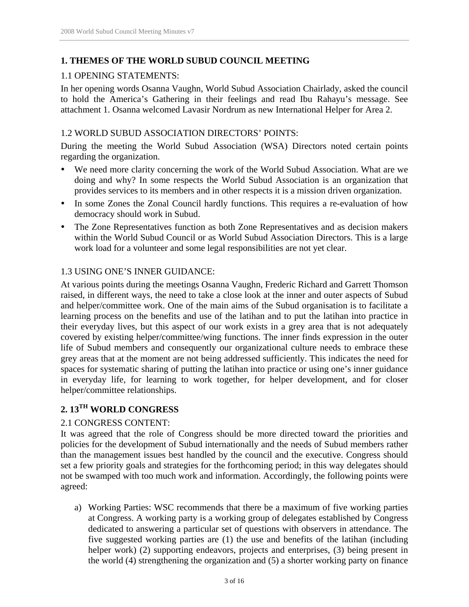## **1. THEMES OF THE WORLD SUBUD COUNCIL MEETING**

## 1.1 OPENING STATEMENTS:

In her opening words Osanna Vaughn, World Subud Association Chairlady, asked the council to hold the America's Gathering in their feelings and read Ibu Rahayu's message. See attachment 1. Osanna welcomed Lavasir Nordrum as new International Helper for Area 2.

## 1.2 WORLD SUBUD ASSOCIATION DIRECTORS' POINTS:

During the meeting the World Subud Association (WSA) Directors noted certain points regarding the organization.

- We need more clarity concerning the work of the World Subud Association. What are we doing and why? In some respects the World Subud Association is an organization that provides services to its members and in other respects it is a mission driven organization.
- In some Zones the Zonal Council hardly functions. This requires a re-evaluation of how democracy should work in Subud.
- The Zone Representatives function as both Zone Representatives and as decision makers within the World Subud Council or as World Subud Association Directors. This is a large work load for a volunteer and some legal responsibilities are not yet clear.

## 1.3 USING ONE'S INNER GUIDANCE:

At various points during the meetings Osanna Vaughn, Frederic Richard and Garrett Thomson raised, in different ways, the need to take a close look at the inner and outer aspects of Subud and helper/committee work. One of the main aims of the Subud organisation is to facilitate a learning process on the benefits and use of the latihan and to put the latihan into practice in their everyday lives, but this aspect of our work exists in a grey area that is not adequately covered by existing helper/committee/wing functions. The inner finds expression in the outer life of Subud members and consequently our organizational culture needs to embrace these grey areas that at the moment are not being addressed sufficiently. This indicates the need for spaces for systematic sharing of putting the latihan into practice or using one's inner guidance in everyday life, for learning to work together, for helper development, and for closer helper/committee relationships.

## **2. 13TH WORLD CONGRESS**

## 2.1 CONGRESS CONTENT:

It was agreed that the role of Congress should be more directed toward the priorities and policies for the development of Subud internationally and the needs of Subud members rather than the management issues best handled by the council and the executive. Congress should set a few priority goals and strategies for the forthcoming period; in this way delegates should not be swamped with too much work and information. Accordingly, the following points were agreed:

a) Working Parties: WSC recommends that there be a maximum of five working parties at Congress. A working party is a working group of delegates established by Congress dedicated to answering a particular set of questions with observers in attendance. The five suggested working parties are (1) the use and benefits of the latihan (including helper work) (2) supporting endeavors, projects and enterprises, (3) being present in the world (4) strengthening the organization and (5) a shorter working party on finance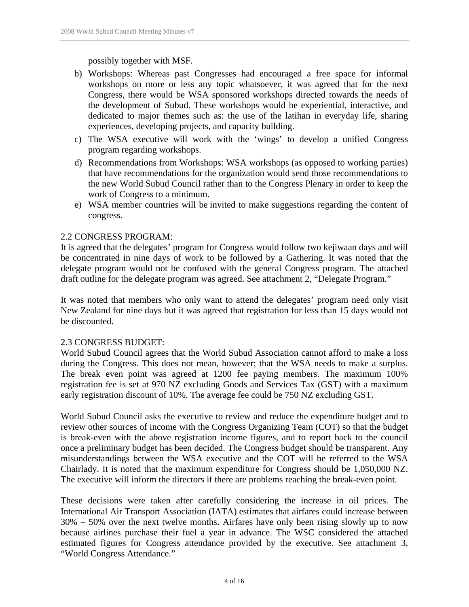possibly together with MSF.

- b) Workshops: Whereas past Congresses had encouraged a free space for informal workshops on more or less any topic whatsoever, it was agreed that for the next Congress, there would be WSA sponsored workshops directed towards the needs of the development of Subud. These workshops would be experiential, interactive, and dedicated to major themes such as: the use of the latihan in everyday life, sharing experiences, developing projects, and capacity building.
- c) The WSA executive will work with the 'wings' to develop a unified Congress program regarding workshops.
- d) Recommendations from Workshops: WSA workshops (as opposed to working parties) that have recommendations for the organization would send those recommendations to the new World Subud Council rather than to the Congress Plenary in order to keep the work of Congress to a minimum.
- e) WSA member countries will be invited to make suggestions regarding the content of congress.

## 2.2 CONGRESS PROGRAM:

It is agreed that the delegates' program for Congress would follow two kejiwaan days and will be concentrated in nine days of work to be followed by a Gathering. It was noted that the delegate program would not be confused with the general Congress program. The attached draft outline for the delegate program was agreed. See attachment 2, "Delegate Program."

It was noted that members who only want to attend the delegates' program need only visit New Zealand for nine days but it was agreed that registration for less than 15 days would not be discounted.

#### 2.3 CONGRESS BUDGET:

World Subud Council agrees that the World Subud Association cannot afford to make a loss during the Congress. This does not mean, however; that the WSA needs to make a surplus. The break even point was agreed at 1200 fee paying members. The maximum 100% registration fee is set at 970 NZ excluding Goods and Services Tax (GST) with a maximum early registration discount of 10%. The average fee could be 750 NZ excluding GST.

World Subud Council asks the executive to review and reduce the expenditure budget and to review other sources of income with the Congress Organizing Team (COT) so that the budget is break-even with the above registration income figures, and to report back to the council once a preliminary budget has been decided. The Congress budget should be transparent. Any misunderstandings between the WSA executive and the COT will be referred to the WSA Chairlady. It is noted that the maximum expenditure for Congress should be 1,050,000 NZ. The executive will inform the directors if there are problems reaching the break-even point.

These decisions were taken after carefully considering the increase in oil prices. The International Air Transport Association (IATA) estimates that airfares could increase between 30% – 50% over the next twelve months. Airfares have only been rising slowly up to now because airlines purchase their fuel a year in advance. The WSC considered the attached estimated figures for Congress attendance provided by the executive. See attachment 3, "World Congress Attendance."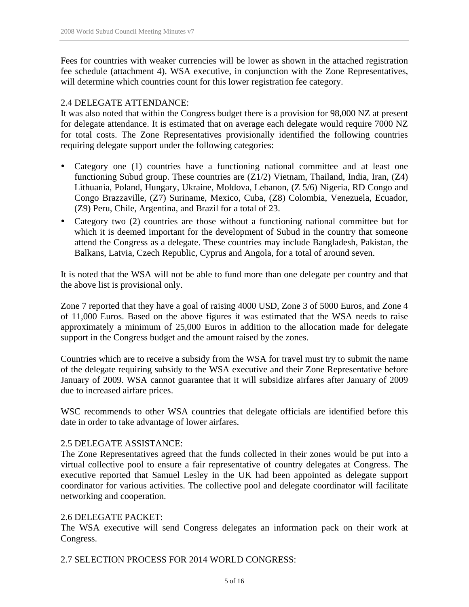Fees for countries with weaker currencies will be lower as shown in the attached registration fee schedule (attachment 4). WSA executive, in conjunction with the Zone Representatives, will determine which countries count for this lower registration fee category.

## 2.4 DELEGATE ATTENDANCE:

It was also noted that within the Congress budget there is a provision for 98,000 NZ at present for delegate attendance. It is estimated that on average each delegate would require 7000 NZ for total costs. The Zone Representatives provisionally identified the following countries requiring delegate support under the following categories:

- Category one (1) countries have a functioning national committee and at least one functioning Subud group. These countries are (Z1/2) Vietnam, Thailand, India, Iran, (Z4) Lithuania, Poland, Hungary, Ukraine, Moldova, Lebanon, (Z 5/6) Nigeria, RD Congo and Congo Brazzaville, (Z7) Suriname, Mexico, Cuba, (Z8) Colombia, Venezuela, Ecuador, (Z9) Peru, Chile, Argentina, and Brazil for a total of 23.
- Category two (2) countries are those without a functioning national committee but for which it is deemed important for the development of Subud in the country that someone attend the Congress as a delegate. These countries may include Bangladesh, Pakistan, the Balkans, Latvia, Czech Republic, Cyprus and Angola, for a total of around seven.

It is noted that the WSA will not be able to fund more than one delegate per country and that the above list is provisional only.

Zone 7 reported that they have a goal of raising 4000 USD, Zone 3 of 5000 Euros, and Zone 4 of 11,000 Euros. Based on the above figures it was estimated that the WSA needs to raise approximately a minimum of 25,000 Euros in addition to the allocation made for delegate support in the Congress budget and the amount raised by the zones.

Countries which are to receive a subsidy from the WSA for travel must try to submit the name of the delegate requiring subsidy to the WSA executive and their Zone Representative before January of 2009. WSA cannot guarantee that it will subsidize airfares after January of 2009 due to increased airfare prices.

WSC recommends to other WSA countries that delegate officials are identified before this date in order to take advantage of lower airfares.

## 2.5 DELEGATE ASSISTANCE:

The Zone Representatives agreed that the funds collected in their zones would be put into a virtual collective pool to ensure a fair representative of country delegates at Congress. The executive reported that Samuel Lesley in the UK had been appointed as delegate support coordinator for various activities. The collective pool and delegate coordinator will facilitate networking and cooperation.

## 2.6 DELEGATE PACKET:

The WSA executive will send Congress delegates an information pack on their work at Congress.

2.7 SELECTION PROCESS FOR 2014 WORLD CONGRESS: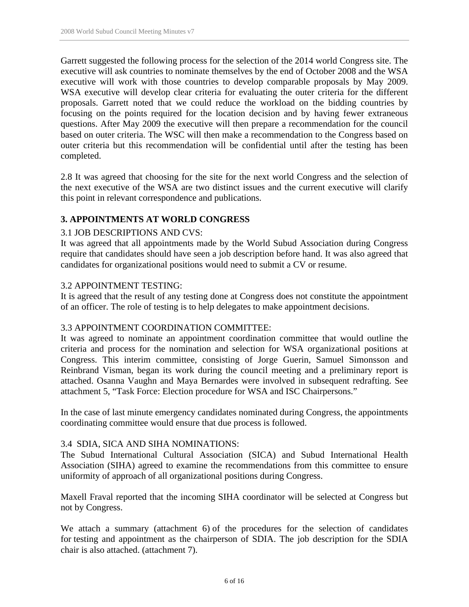Garrett suggested the following process for the selection of the 2014 world Congress site. The executive will ask countries to nominate themselves by the end of October 2008 and the WSA executive will work with those countries to develop comparable proposals by May 2009. WSA executive will develop clear criteria for evaluating the outer criteria for the different proposals. Garrett noted that we could reduce the workload on the bidding countries by focusing on the points required for the location decision and by having fewer extraneous questions. After May 2009 the executive will then prepare a recommendation for the council based on outer criteria. The WSC will then make a recommendation to the Congress based on outer criteria but this recommendation will be confidential until after the testing has been completed.

2.8 It was agreed that choosing for the site for the next world Congress and the selection of the next executive of the WSA are two distinct issues and the current executive will clarify this point in relevant correspondence and publications.

## **3. APPOINTMENTS AT WORLD CONGRESS**

#### 3.1 JOB DESCRIPTIONS AND CVS:

It was agreed that all appointments made by the World Subud Association during Congress require that candidates should have seen a job description before hand. It was also agreed that candidates for organizational positions would need to submit a CV or resume.

#### 3.2 APPOINTMENT TESTING:

It is agreed that the result of any testing done at Congress does not constitute the appointment of an officer. The role of testing is to help delegates to make appointment decisions.

#### 3.3 APPOINTMENT COORDINATION COMMITTEE:

It was agreed to nominate an appointment coordination committee that would outline the criteria and process for the nomination and selection for WSA organizational positions at Congress. This interim committee, consisting of Jorge Guerin, Samuel Simonsson and Reinbrand Visman, began its work during the council meeting and a preliminary report is attached. Osanna Vaughn and Maya Bernardes were involved in subsequent redrafting. See attachment 5, "Task Force: Election procedure for WSA and ISC Chairpersons."

In the case of last minute emergency candidates nominated during Congress, the appointments coordinating committee would ensure that due process is followed.

#### 3.4 SDIA, SICA AND SIHA NOMINATIONS:

The Subud International Cultural Association (SICA) and Subud International Health Association (SIHA) agreed to examine the recommendations from this committee to ensure uniformity of approach of all organizational positions during Congress.

Maxell Fraval reported that the incoming SIHA coordinator will be selected at Congress but not by Congress.

We attach a summary (attachment 6) of the procedures for the selection of candidates for testing and appointment as the chairperson of SDIA. The job description for the SDIA chair is also attached. (attachment 7).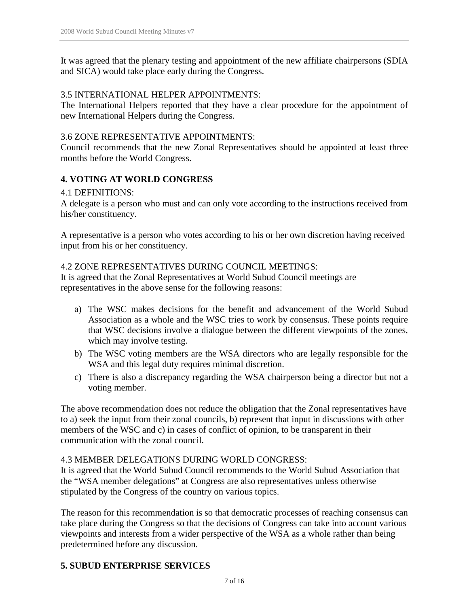It was agreed that the plenary testing and appointment of the new affiliate chairpersons (SDIA and SICA) would take place early during the Congress.

## 3.5 INTERNATIONAL HELPER APPOINTMENTS:

The International Helpers reported that they have a clear procedure for the appointment of new International Helpers during the Congress.

## 3.6 ZONE REPRESENTATIVE APPOINTMENTS:

Council recommends that the new Zonal Representatives should be appointed at least three months before the World Congress.

## **4. VOTING AT WORLD CONGRESS**

#### 4.1 DEFINITIONS:

A delegate is a person who must and can only vote according to the instructions received from his/her constituency.

A representative is a person who votes according to his or her own discretion having received input from his or her constituency.

## 4.2 ZONE REPRESENTATIVES DURING COUNCIL MEETINGS:

It is agreed that the Zonal Representatives at World Subud Council meetings are representatives in the above sense for the following reasons:

- a) The WSC makes decisions for the benefit and advancement of the World Subud Association as a whole and the WSC tries to work by consensus. These points require that WSC decisions involve a dialogue between the different viewpoints of the zones, which may involve testing.
- b) The WSC voting members are the WSA directors who are legally responsible for the WSA and this legal duty requires minimal discretion.
- c) There is also a discrepancy regarding the WSA chairperson being a director but not a voting member.

The above recommendation does not reduce the obligation that the Zonal representatives have to a) seek the input from their zonal councils, b) represent that input in discussions with other members of the WSC and c) in cases of conflict of opinion, to be transparent in their communication with the zonal council.

## 4.3 MEMBER DELEGATIONS DURING WORLD CONGRESS:

It is agreed that the World Subud Council recommends to the World Subud Association that the "WSA member delegations" at Congress are also representatives unless otherwise stipulated by the Congress of the country on various topics.

The reason for this recommendation is so that democratic processes of reaching consensus can take place during the Congress so that the decisions of Congress can take into account various viewpoints and interests from a wider perspective of the WSA as a whole rather than being predetermined before any discussion.

## **5. SUBUD ENTERPRISE SERVICES**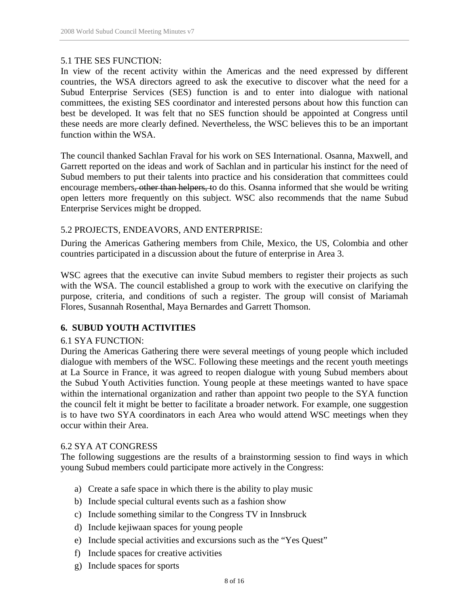#### 5.1 THE SES FUNCTION:

In view of the recent activity within the Americas and the need expressed by different countries, the WSA directors agreed to ask the executive to discover what the need for a Subud Enterprise Services (SES) function is and to enter into dialogue with national committees, the existing SES coordinator and interested persons about how this function can best be developed. It was felt that no SES function should be appointed at Congress until these needs are more clearly defined. Nevertheless, the WSC believes this to be an important function within the WSA.

The council thanked Sachlan Fraval for his work on SES International. Osanna, Maxwell, and Garrett reported on the ideas and work of Sachlan and in particular his instinct for the need of Subud members to put their talents into practice and his consideration that committees could encourage members, other than helpers, to do this. Osanna informed that she would be writing open letters more frequently on this subject. WSC also recommends that the name Subud Enterprise Services might be dropped.

## 5.2 PROJECTS, ENDEAVORS, AND ENTERPRISE:

During the Americas Gathering members from Chile, Mexico, the US, Colombia and other countries participated in a discussion about the future of enterprise in Area 3.

WSC agrees that the executive can invite Subud members to register their projects as such with the WSA. The council established a group to work with the executive on clarifying the purpose, criteria, and conditions of such a register. The group will consist of Mariamah Flores, Susannah Rosenthal, Maya Bernardes and Garrett Thomson.

## **6. SUBUD YOUTH ACTIVITIES**

#### 6.1 SYA FUNCTION:

During the Americas Gathering there were several meetings of young people which included dialogue with members of the WSC. Following these meetings and the recent youth meetings at La Source in France, it was agreed to reopen dialogue with young Subud members about the Subud Youth Activities function. Young people at these meetings wanted to have space within the international organization and rather than appoint two people to the SYA function the council felt it might be better to facilitate a broader network. For example, one suggestion is to have two SYA coordinators in each Area who would attend WSC meetings when they occur within their Area.

#### 6.2 SYA AT CONGRESS

The following suggestions are the results of a brainstorming session to find ways in which young Subud members could participate more actively in the Congress:

- a) Create a safe space in which there is the ability to play music
- b) Include special cultural events such as a fashion show
- c) Include something similar to the Congress TV in Innsbruck
- d) Include kejiwaan spaces for young people
- e) Include special activities and excursions such as the "Yes Quest"
- f) Include spaces for creative activities
- g) Include spaces for sports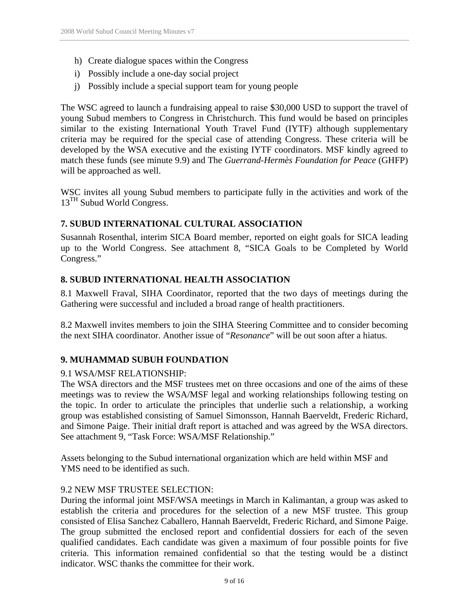- h) Create dialogue spaces within the Congress
- i) Possibly include a one-day social project
- j) Possibly include a special support team for young people

The WSC agreed to launch a fundraising appeal to raise \$30,000 USD to support the travel of young Subud members to Congress in Christchurch. This fund would be based on principles similar to the existing International Youth Travel Fund (IYTF) although supplementary criteria may be required for the special case of attending Congress. These criteria will be developed by the WSA executive and the existing IYTF coordinators. MSF kindly agreed to match these funds (see minute 9.9) and The *Guerrand-Hermès Foundation for Peace* (GHFP) will be approached as well.

WSC invites all young Subud members to participate fully in the activities and work of the 13<sup>TH</sup> Subud World Congress.

## **7. SUBUD INTERNATIONAL CULTURAL ASSOCIATION**

Susannah Rosenthal, interim SICA Board member, reported on eight goals for SICA leading up to the World Congress. See attachment 8, "SICA Goals to be Completed by World Congress."

## **8. SUBUD INTERNATIONAL HEALTH ASSOCIATION**

8.1 Maxwell Fraval, SIHA Coordinator, reported that the two days of meetings during the Gathering were successful and included a broad range of health practitioners.

8.2 Maxwell invites members to join the SIHA Steering Committee and to consider becoming the next SIHA coordinator. Another issue of "*Resonance*" will be out soon after a hiatus.

## **9. MUHAMMAD SUBUH FOUNDATION**

## 9.1 WSA/MSF RELATIONSHIP:

The WSA directors and the MSF trustees met on three occasions and one of the aims of these meetings was to review the WSA/MSF legal and working relationships following testing on the topic. In order to articulate the principles that underlie such a relationship, a working group was established consisting of Samuel Simonsson, Hannah Baerveldt, Frederic Richard, and Simone Paige. Their initial draft report is attached and was agreed by the WSA directors. See attachment 9, "Task Force: WSA/MSF Relationship."

Assets belonging to the Subud international organization which are held within MSF and YMS need to be identified as such.

## 9.2 NEW MSF TRUSTEE SELECTION:

During the informal joint MSF/WSA meetings in March in Kalimantan, a group was asked to establish the criteria and procedures for the selection of a new MSF trustee. This group consisted of Elisa Sanchez Caballero, Hannah Baerveldt, Frederic Richard, and Simone Paige. The group submitted the enclosed report and confidential dossiers for each of the seven qualified candidates. Each candidate was given a maximum of four possible points for five criteria. This information remained confidential so that the testing would be a distinct indicator. WSC thanks the committee for their work.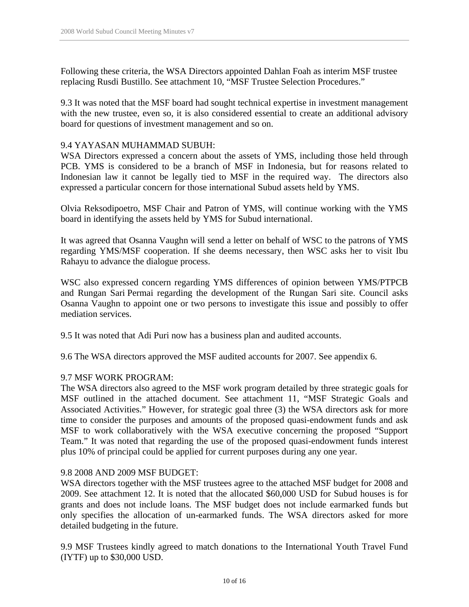Following these criteria, the WSA Directors appointed Dahlan Foah as interim MSF trustee replacing Rusdi Bustillo. See attachment 10, "MSF Trustee Selection Procedures."

9.3 It was noted that the MSF board had sought technical expertise in investment management with the new trustee, even so, it is also considered essential to create an additional advisory board for questions of investment management and so on.

## 9.4 YAYASAN MUHAMMAD SUBUH:

WSA Directors expressed a concern about the assets of YMS, including those held through PCB. YMS is considered to be a branch of MSF in Indonesia, but for reasons related to Indonesian law it cannot be legally tied to MSF in the required way. The directors also expressed a particular concern for those international Subud assets held by YMS.

Olvia Reksodipoetro, MSF Chair and Patron of YMS, will continue working with the YMS board in identifying the assets held by YMS for Subud international.

It was agreed that Osanna Vaughn will send a letter on behalf of WSC to the patrons of YMS regarding YMS/MSF cooperation. If she deems necessary, then WSC asks her to visit Ibu Rahayu to advance the dialogue process.

WSC also expressed concern regarding YMS differences of opinion between YMS/PTPCB and Rungan Sari Permai regarding the development of the Rungan Sari site. Council asks Osanna Vaughn to appoint one or two persons to investigate this issue and possibly to offer mediation services.

9.5 It was noted that Adi Puri now has a business plan and audited accounts.

9.6 The WSA directors approved the MSF audited accounts for 2007. See appendix 6.

#### 9.7 MSF WORK PROGRAM:

The WSA directors also agreed to the MSF work program detailed by three strategic goals for MSF outlined in the attached document. See attachment 11, "MSF Strategic Goals and Associated Activities." However, for strategic goal three (3) the WSA directors ask for more time to consider the purposes and amounts of the proposed quasi-endowment funds and ask MSF to work collaboratively with the WSA executive concerning the proposed "Support Team." It was noted that regarding the use of the proposed quasi-endowment funds interest plus 10% of principal could be applied for current purposes during any one year.

#### 9.8 2008 AND 2009 MSF BUDGET:

WSA directors together with the MSF trustees agree to the attached MSF budget for 2008 and 2009. See attachment 12. It is noted that the allocated \$60,000 USD for Subud houses is for grants and does not include loans. The MSF budget does not include earmarked funds but only specifies the allocation of un-earmarked funds. The WSA directors asked for more detailed budgeting in the future.

9.9 MSF Trustees kindly agreed to match donations to the International Youth Travel Fund (IYTF) up to \$30,000 USD.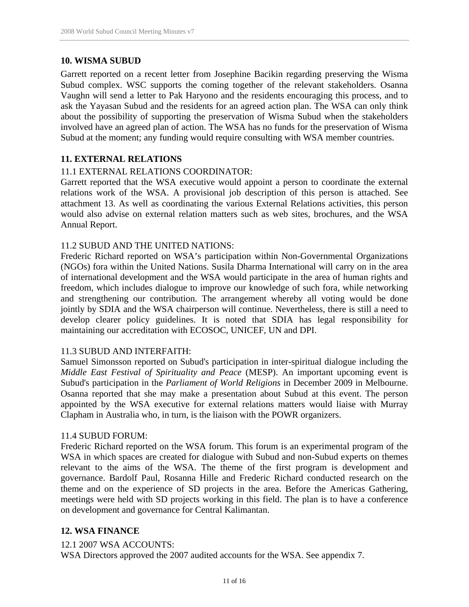## **10. WISMA SUBUD**

Garrett reported on a recent letter from Josephine Bacikin regarding preserving the Wisma Subud complex. WSC supports the coming together of the relevant stakeholders. Osanna Vaughn will send a letter to Pak Haryono and the residents encouraging this process, and to ask the Yayasan Subud and the residents for an agreed action plan. The WSA can only think about the possibility of supporting the preservation of Wisma Subud when the stakeholders involved have an agreed plan of action. The WSA has no funds for the preservation of Wisma Subud at the moment; any funding would require consulting with WSA member countries.

## **11. EXTERNAL RELATIONS**

#### 11.1 EXTERNAL RELATIONS COORDINATOR:

Garrett reported that the WSA executive would appoint a person to coordinate the external relations work of the WSA. A provisional job description of this person is attached. See attachment 13. As well as coordinating the various External Relations activities, this person would also advise on external relation matters such as web sites, brochures, and the WSA Annual Report.

#### 11.2 SUBUD AND THE UNITED NATIONS:

Frederic Richard reported on WSA's participation within Non-Governmental Organizations (NGOs) fora within the United Nations. Susila Dharma International will carry on in the area of international development and the WSA would participate in the area of human rights and freedom, which includes dialogue to improve our knowledge of such fora, while networking and strengthening our contribution. The arrangement whereby all voting would be done jointly by SDIA and the WSA chairperson will continue. Nevertheless, there is still a need to develop clearer policy guidelines. It is noted that SDIA has legal responsibility for maintaining our accreditation with ECOSOC, UNICEF, UN and DPI.

#### 11.3 SUBUD AND INTERFAITH:

Samuel Simonsson reported on Subud's participation in inter-spiritual dialogue including the *Middle East Festival of Spirituality and Peace* (MESP). An important upcoming event is Subud's participation in the *Parliament of World Religions* in December 2009 in Melbourne. Osanna reported that she may make a presentation about Subud at this event. The person appointed by the WSA executive for external relations matters would liaise with Murray Clapham in Australia who, in turn, is the liaison with the POWR organizers.

#### 11.4 SUBUD FORUM:

Frederic Richard reported on the WSA forum. This forum is an experimental program of the WSA in which spaces are created for dialogue with Subud and non-Subud experts on themes relevant to the aims of the WSA. The theme of the first program is development and governance. Bardolf Paul, Rosanna Hille and Frederic Richard conducted research on the theme and on the experience of SD projects in the area. Before the Americas Gathering, meetings were held with SD projects working in this field. The plan is to have a conference on development and governance for Central Kalimantan.

## **12. WSA FINANCE**

#### 12.1 2007 WSA ACCOUNTS:

WSA Directors approved the 2007 audited accounts for the WSA. See appendix 7.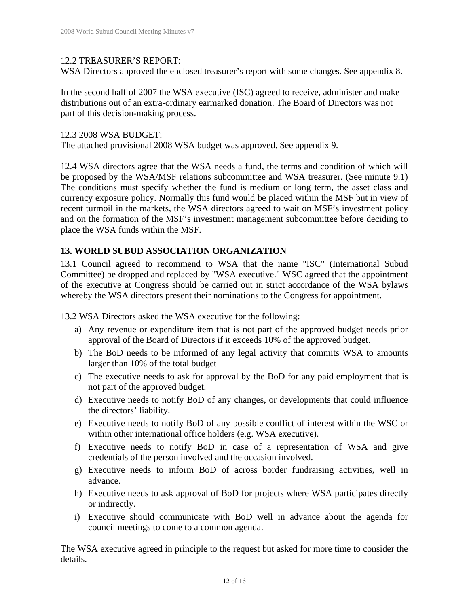#### 12.2 TREASURER'S REPORT:

WSA Directors approved the enclosed treasurer's report with some changes. See appendix 8.

In the second half of 2007 the WSA executive (ISC) agreed to receive, administer and make distributions out of an extra-ordinary earmarked donation. The Board of Directors was not part of this decision-making process.

#### 12.3 2008 WSA BUDGET:

The attached provisional 2008 WSA budget was approved. See appendix 9.

12.4 WSA directors agree that the WSA needs a fund, the terms and condition of which will be proposed by the WSA/MSF relations subcommittee and WSA treasurer. (See minute 9.1) The conditions must specify whether the fund is medium or long term, the asset class and currency exposure policy. Normally this fund would be placed within the MSF but in view of recent turmoil in the markets, the WSA directors agreed to wait on MSF's investment policy and on the formation of the MSF's investment management subcommittee before deciding to place the WSA funds within the MSF.

#### **13. WORLD SUBUD ASSOCIATION ORGANIZATION**

13.1 Council agreed to recommend to WSA that the name "ISC" (International Subud Committee) be dropped and replaced by "WSA executive." WSC agreed that the appointment of the executive at Congress should be carried out in strict accordance of the WSA bylaws whereby the WSA directors present their nominations to the Congress for appointment.

13.2 WSA Directors asked the WSA executive for the following:

- a) Any revenue or expenditure item that is not part of the approved budget needs prior approval of the Board of Directors if it exceeds 10% of the approved budget.
- b) The BoD needs to be informed of any legal activity that commits WSA to amounts larger than 10% of the total budget
- c) The executive needs to ask for approval by the BoD for any paid employment that is not part of the approved budget.
- d) Executive needs to notify BoD of any changes, or developments that could influence the directors' liability.
- e) Executive needs to notify BoD of any possible conflict of interest within the WSC or within other international office holders (e.g. WSA executive).
- f) Executive needs to notify BoD in case of a representation of WSA and give credentials of the person involved and the occasion involved.
- g) Executive needs to inform BoD of across border fundraising activities, well in advance.
- h) Executive needs to ask approval of BoD for projects where WSA participates directly or indirectly.
- i) Executive should communicate with BoD well in advance about the agenda for council meetings to come to a common agenda.

The WSA executive agreed in principle to the request but asked for more time to consider the details.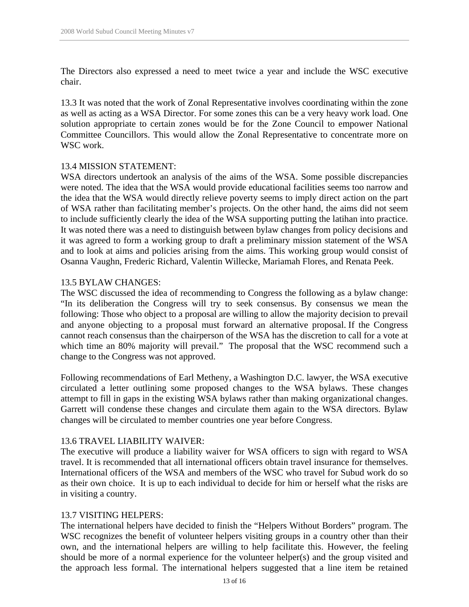The Directors also expressed a need to meet twice a year and include the WSC executive chair.

13.3 It was noted that the work of Zonal Representative involves coordinating within the zone as well as acting as a WSA Director. For some zones this can be a very heavy work load. One solution appropriate to certain zones would be for the Zone Council to empower National Committee Councillors. This would allow the Zonal Representative to concentrate more on WSC work.

#### 13.4 MISSION STATEMENT:

WSA directors undertook an analysis of the aims of the WSA. Some possible discrepancies were noted. The idea that the WSA would provide educational facilities seems too narrow and the idea that the WSA would directly relieve poverty seems to imply direct action on the part of WSA rather than facilitating member's projects. On the other hand, the aims did not seem to include sufficiently clearly the idea of the WSA supporting putting the latihan into practice. It was noted there was a need to distinguish between bylaw changes from policy decisions and it was agreed to form a working group to draft a preliminary mission statement of the WSA and to look at aims and policies arising from the aims. This working group would consist of Osanna Vaughn, Frederic Richard, Valentin Willecke, Mariamah Flores, and Renata Peek.

#### 13.5 BYLAW CHANGES:

The WSC discussed the idea of recommending to Congress the following as a bylaw change: "In its deliberation the Congress will try to seek consensus. By consensus we mean the following: Those who object to a proposal are willing to allow the majority decision to prevail and anyone objecting to a proposal must forward an alternative proposal. If the Congress cannot reach consensus than the chairperson of the WSA has the discretion to call for a vote at which time an 80% majority will prevail." The proposal that the WSC recommend such a change to the Congress was not approved.

Following recommendations of Earl Metheny, a Washington D.C. lawyer, the WSA executive circulated a letter outlining some proposed changes to the WSA bylaws. These changes attempt to fill in gaps in the existing WSA bylaws rather than making organizational changes. Garrett will condense these changes and circulate them again to the WSA directors. Bylaw changes will be circulated to member countries one year before Congress.

#### 13.6 TRAVEL LIABILITY WAIVER:

The executive will produce a liability waiver for WSA officers to sign with regard to WSA travel. It is recommended that all international officers obtain travel insurance for themselves. International officers of the WSA and members of the WSC who travel for Subud work do so as their own choice. It is up to each individual to decide for him or herself what the risks are in visiting a country.

## 13.7 VISITING HELPERS:

The international helpers have decided to finish the "Helpers Without Borders" program. The WSC recognizes the benefit of volunteer helpers visiting groups in a country other than their own, and the international helpers are willing to help facilitate this. However, the feeling should be more of a normal experience for the volunteer helper(s) and the group visited and the approach less formal. The international helpers suggested that a line item be retained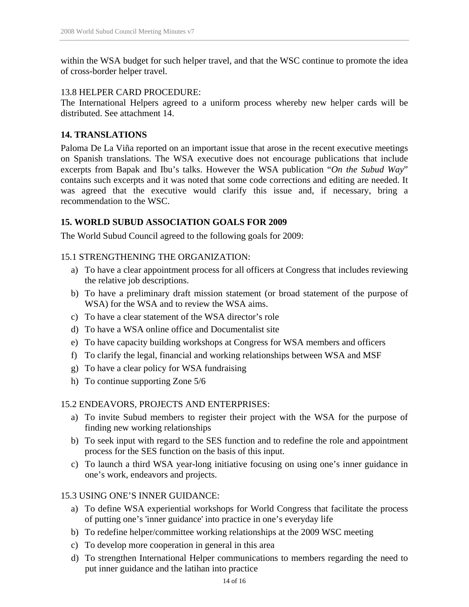within the WSA budget for such helper travel, and that the WSC continue to promote the idea of cross-border helper travel.

#### 13.8 HELPER CARD PROCEDURE:

The International Helpers agreed to a uniform process whereby new helper cards will be distributed. See attachment 14.

## **14. TRANSLATIONS**

Paloma De La Viña reported on an important issue that arose in the recent executive meetings on Spanish translations. The WSA executive does not encourage publications that include excerpts from Bapak and Ibu's talks. However the WSA publication "*On the Subud Way*" contains such excerpts and it was noted that some code corrections and editing are needed. It was agreed that the executive would clarify this issue and, if necessary, bring a recommendation to the WSC.

## **15. WORLD SUBUD ASSOCIATION GOALS FOR 2009**

The World Subud Council agreed to the following goals for 2009:

#### 15.1 STRENGTHENING THE ORGANIZATION:

- a) To have a clear appointment process for all officers at Congress that includes reviewing the relative job descriptions.
- b) To have a preliminary draft mission statement (or broad statement of the purpose of WSA) for the WSA and to review the WSA aims.
- c) To have a clear statement of the WSA director's role
- d) To have a WSA online office and Documentalist site
- e) To have capacity building workshops at Congress for WSA members and officers
- f) To clarify the legal, financial and working relationships between WSA and MSF
- g) To have a clear policy for WSA fundraising
- h) To continue supporting Zone 5/6

## 15.2 ENDEAVORS, PROJECTS AND ENTERPRISES:

- a) To invite Subud members to register their project with the WSA for the purpose of finding new working relationships
- b) To seek input with regard to the SES function and to redefine the role and appointment process for the SES function on the basis of this input.
- c) To launch a third WSA year-long initiative focusing on using one's inner guidance in one's work, endeavors and projects.

## 15.3 USING ONE'S INNER GUIDANCE:

- a) To define WSA experiential workshops for World Congress that facilitate the process of putting one's 'inner guidance' into practice in one's everyday life
- b) To redefine helper/committee working relationships at the 2009 WSC meeting
- c) To develop more cooperation in general in this area
- d) To strengthen International Helper communications to members regarding the need to put inner guidance and the latihan into practice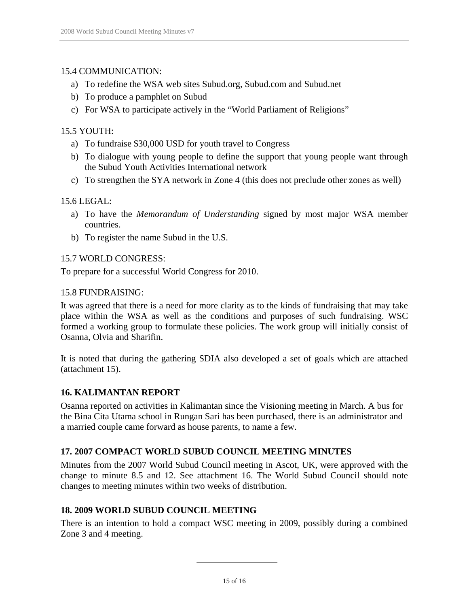## 15.4 COMMUNICATION:

- a) To redefine the WSA web sites Subud.org, Subud.com and Subud.net
- b) To produce a pamphlet on Subud
- c) For WSA to participate actively in the "World Parliament of Religions"

## 15.5 YOUTH:

- a) To fundraise \$30,000 USD for youth travel to Congress
- b) To dialogue with young people to define the support that young people want through the Subud Youth Activities International network
- c) To strengthen the SYA network in Zone 4 (this does not preclude other zones as well)

## 15.6 LEGAL:

- a) To have the *Memorandum of Understanding* signed by most major WSA member countries.
- b) To register the name Subud in the U.S.

## 15.7 WORLD CONGRESS:

To prepare for a successful World Congress for 2010.

## 15.8 FUNDRAISING:

It was agreed that there is a need for more clarity as to the kinds of fundraising that may take place within the WSA as well as the conditions and purposes of such fundraising. WSC formed a working group to formulate these policies. The work group will initially consist of Osanna, Olvia and Sharifin.

It is noted that during the gathering SDIA also developed a set of goals which are attached (attachment 15).

## **16. KALIMANTAN REPORT**

Osanna reported on activities in Kalimantan since the Visioning meeting in March. A bus for the Bina Cita Utama school in Rungan Sari has been purchased, there is an administrator and a married couple came forward as house parents, to name a few.

## **17. 2007 COMPACT WORLD SUBUD COUNCIL MEETING MINUTES**

Minutes from the 2007 World Subud Council meeting in Ascot, UK, were approved with the change to minute 8.5 and 12. See attachment 16. The World Subud Council should note changes to meeting minutes within two weeks of distribution.

## **18. 2009 WORLD SUBUD COUNCIL MEETING**

There is an intention to hold a compact WSC meeting in 2009, possibly during a combined Zone 3 and 4 meeting.